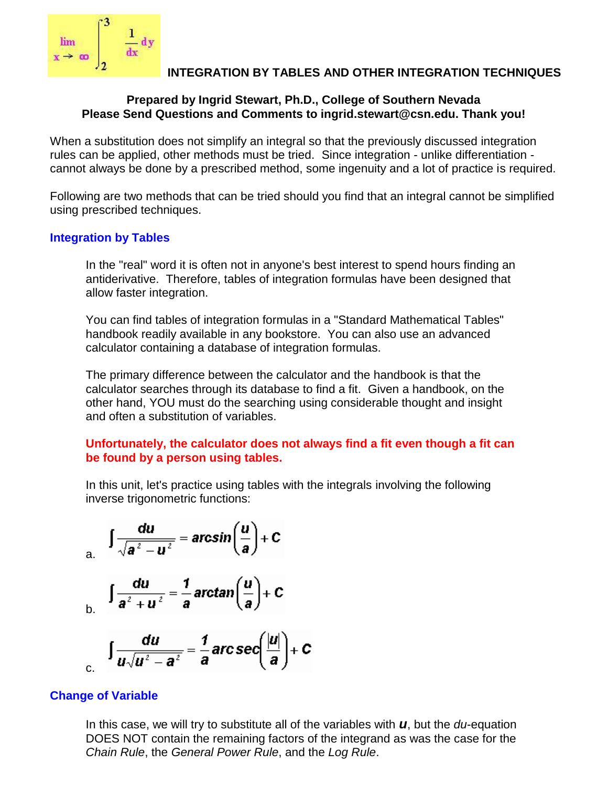

## **INTEGRATION BY TABLES AND OTHER INTEGRATION TECHNIQUES**

## **Prepared by Ingrid Stewart, Ph.D., College of Southern Nevada Please Send Questions and Comments to ingrid.stewart@csn.edu. Thank you!**

When a substitution does not simplify an integral so that the previously discussed integration rules can be applied, other methods must be tried. Since integration - unlike differentiation cannot always be done by a prescribed method, some ingenuity and a lot of practice is required.

Following are two methods that can be tried should you find that an integral cannot be simplified using prescribed techniques.

## **Integration by Tables**

In the "real" word it is often not in anyone's best interest to spend hours finding an antiderivative. Therefore, tables of integration formulas have been designed that allow faster integration.

You can find tables of integration formulas in a "Standard Mathematical Tables" handbook readily available in any bookstore. You can also use an advanced calculator containing a database of integration formulas.

The primary difference between the calculator and the handbook is that the calculator searches through its database to find a fit. Given a handbook, on the other hand, YOU must do the searching using considerable thought and insight and often a substitution of variables.

## **Unfortunately, the calculator does not always find a fit even though a fit can be found by a person using tables.**

In this unit, let's practice using tables with the integrals involving the following inverse trigonometric functions:

a. 
$$
\int \frac{du}{\sqrt{a^2 - u^2}} = \arcsin\left(\frac{u}{a}\right) + C
$$

$$
\int \frac{du}{a^2 + u^2} = \frac{1}{a} \arctan\left(\frac{u}{a}\right) + C
$$

$$
\int \frac{du}{u\sqrt{u^2-a^2}} = \frac{1}{a} \text{arc}\,\text{sec}\left(\frac{|u|}{a}\right) + C
$$

# **Change of Variable**

In this case, we will try to substitute all of the variables with *u*, but the *du*-equation DOES NOT contain the remaining factors of the integrand as was the case for the *Chain Rule*, the *General Power Rule*, and the *Log Rule*.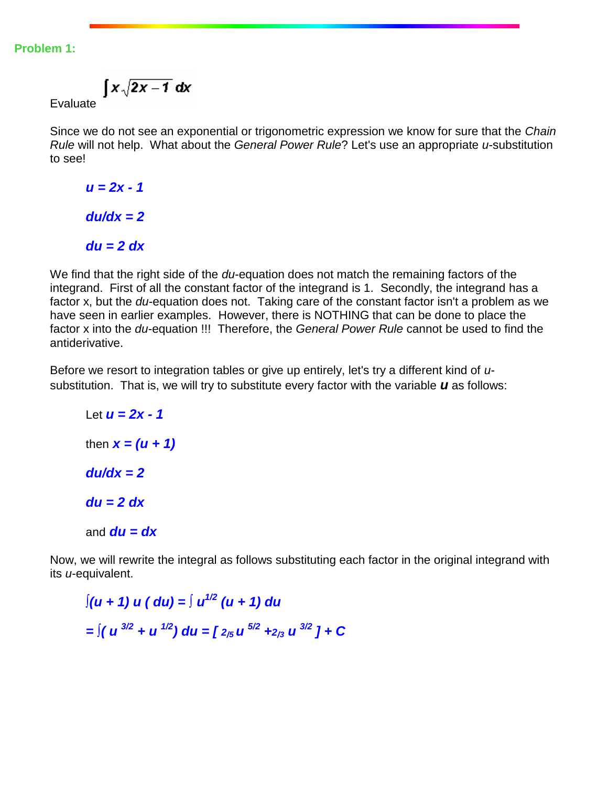#### **Problem 1:**

$$
\int x\sqrt{2x-1}\ dx
$$

Evaluate

Since we do not see an exponential or trigonometric expression we know for sure that the *Chain Rule* will not help. What about the *General Power Rule*? Let's use an appropriate *u*-substitution to see!

*u = 2x - 1 du/dx = 2 du = 2 dx*

We find that the right side of the *du*-equation does not match the remaining factors of the integrand. First of all the constant factor of the integrand is 1. Secondly, the integrand has a factor x, but the *du*-equation does not. Taking care of the constant factor isn't a problem as we have seen in earlier examples. However, there is NOTHING that can be done to place the factor x into the *du*-equation !!! Therefore, the *General Power Rule* cannot be used to find the antiderivative.

Before we resort to integration tables or give up entirely, let's try a different kind of *u*substitution. That is, we will try to substitute every factor with the variable *u* as follows:

Let *u = 2x - 1* then  $x = (u + 1)$ *du/dx = 2 du = 2 dx* and  $du = dx$ 

Now, we will rewrite the integral as follows substituting each factor in the original integrand with its *u*-equivalent.

*∫(u + 1) u ( du) = ∫ u 1/2 (u + 1) du*   $=\int (u^{3/2} + u^{1/2}) du = [2/5] u^{5/2} + 2/3] u^{3/2} + C$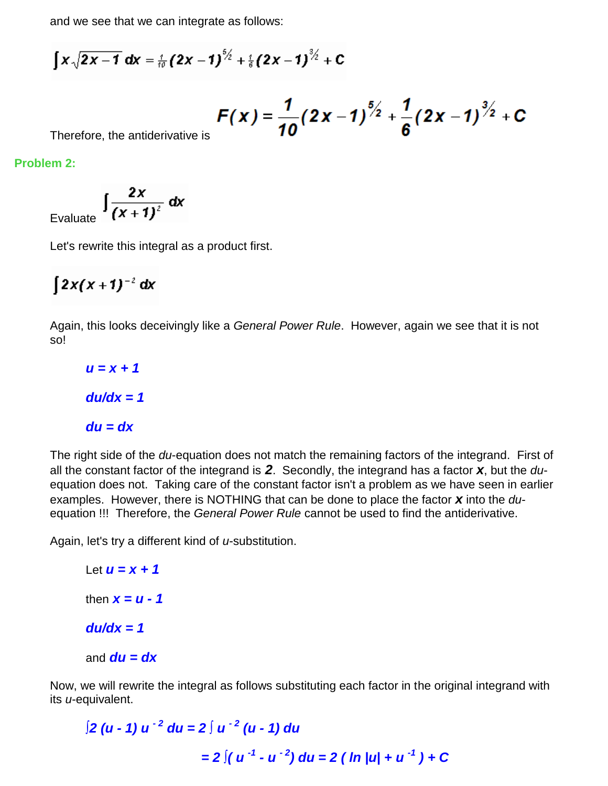and we see that we can integrate as follows:

$$
\int x \sqrt{2x-1} \, dx = \frac{1}{10} \left( 2x - 1 \right)^{5/2} + \frac{1}{6} \left( 2x - 1 \right)^{3/2} + C
$$

$$
F(x) = \frac{1}{10} (2x-1)^{\frac{5}{2}} + \frac{1}{6} (2x-1)^{\frac{3}{2}} + C
$$

Therefore, the antiderivative is

**Problem 2:**

Evaluate  $\int \frac{2x}{(x+1)^2} dx$ 

Let's rewrite this integral as a product first.

$$
\int 2x(x+1)^{-2} dx
$$

Again, this looks deceivingly like a *General Power Rule*. However, again we see that it is not so!

# *u = x + 1 du/dx = 1 du = dx*

The right side of the *du*-equation does not match the remaining factors of the integrand. First of all the constant factor of the integrand is *2*. Secondly, the integrand has a factor *x*, but the *du*equation does not. Taking care of the constant factor isn't a problem as we have seen in earlier examples. However, there is NOTHING that can be done to place the factor *x* into the *du*equation !!! Therefore, the *General Power Rule* cannot be used to find the antiderivative.

Again, let's try a different kind of *u*-substitution.

```
Let u = x + 1
then x = u - 1du/dx = 1
and du = dx
```
Now, we will rewrite the integral as follows substituting each factor in the original integrand with its *u*-equivalent.

$$
\int 2 (u - 1) u^{-2} du = 2 \int u^{-2} (u - 1) du
$$
  
= 2  $\int (u^{-1} - u^{-2}) du = 2 (ln |u| + u^{-1}) + C$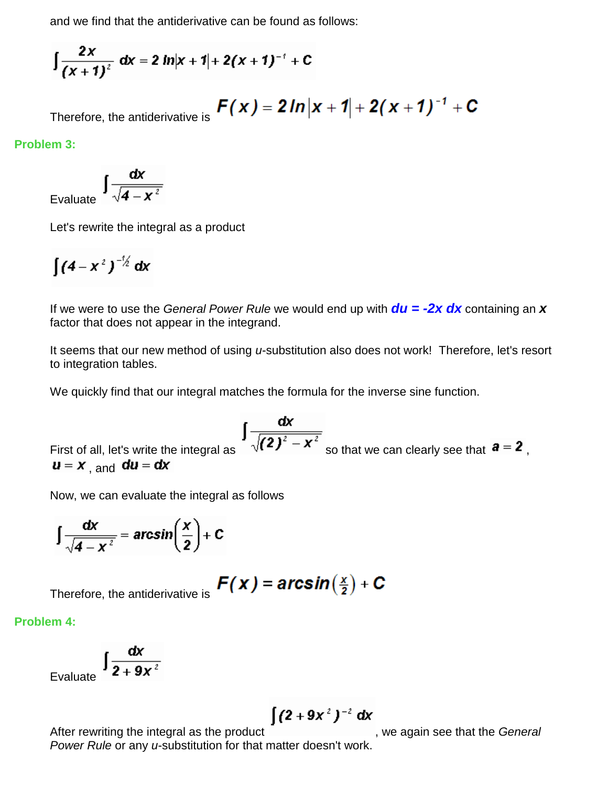and we find that the antiderivative can be found as follows:

$$
\int \frac{2x}{(x+1)^2} \, dx = 2 \ln|x+1| + 2(x+1)^{-1} + C
$$

$$
F(x) = 2\ln|x+1| + 2(x+1)^{-1} + C
$$

Therefore, the antiderivative is

## **Problem 3:**

Evaluate  $\int \frac{dx}{\sqrt{4-x^2}}$ 

Let's rewrite the integral as a product

$$
\int (4-x^2)^{-\frac{1}{2}} dx
$$

If we were to use the *General Power Rule* we would end up with *du = -2x dx* containing an *x* factor that does not appear in the integrand.

It seems that our new method of using *u*-substitution also does not work! Therefore, let's resort to integration tables.

We quickly find that our integral matches the formula for the inverse sine function.

First of all, let's write the integral as 
$$
\int \frac{dx}{\sqrt{(2)^2 - x^2}}
$$
 so that we can clearly see that  $\mathbf{a} = 2$ ,  $\mathbf{u} = x$ , and  $\mathbf{du} = dx$ 

Now, we can evaluate the integral as follows

$$
\int \frac{dx}{\sqrt{4-x^2}} = \arcsin\left(\frac{x}{2}\right) + C
$$

Therefore, the antiderivative is  $F(x) = arcsin(\frac{x}{2}) + C$ 

# **Problem 4:**

$$
\int \frac{dx}{2+9x^2}
$$

$$
\int (2+9x^2)^{-2} dx
$$

After rewriting the integral as the product **the integral as the** *General* , we again see that the *General Power Rule* or any *u*-substitution for that matter doesn't work.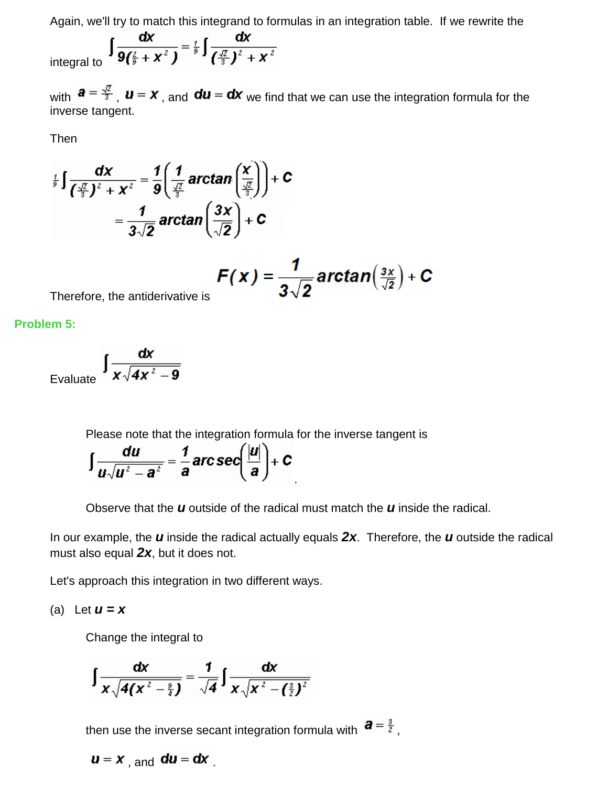Again, we'll try to match this integrand to formulas in an integration table. If we rewrite the

integral to 
$$
\int \frac{dx}{9(\frac{2}{9} + x^2)} = \frac{1}{9} \int \frac{dx}{(\frac{\sqrt{2}}{3})^2 + x^2}
$$

with  $a = \frac{\sqrt{2}}{3}$ ,  $u = x$ , and  $du = dx$  we find that we can use the integration formula for the inverse tangent.

Then

$$
\int_{\frac{1}{9}}^{\frac{1}{2}} \int \frac{dx}{\left(\frac{\sqrt{2}}{3}\right)^2 + x^2} = \frac{1}{9} \left( \frac{1}{\frac{\sqrt{2}}{3}} \arctan\left(\frac{x}{\frac{\sqrt{2}}{3}}\right) \right) + C
$$

$$
= \frac{1}{3\sqrt{2}} \arctan\left(\frac{3x}{\sqrt{2}}\right) + C
$$

$$
F(x) = \frac{1}{3\sqrt{2}}\arctan\left(\frac{3x}{\sqrt{2}}\right) + C
$$

Therefore, the antiderivative is

**Problem 5:**

$$
\varepsilon_{\text{Evaluate}}\int \frac{dx}{x\sqrt{4x^2-9}}
$$

Please note that the integration formula for the inverse tangent is

$$
\int \frac{du}{u\sqrt{u^2-a^2}}=\frac{1}{a} \, \text{arc}\, \text{sec} \left(\frac{|u|}{a}\right)+C
$$

Observe that the *u* outside of the radical must match the *u* inside the radical.

.

In our example, the *u* inside the radical actually equals *2x*. Therefore, the *u* outside the radical must also equal *2x*, but it does not.

Let's approach this integration in two different ways.

(a) Let 
$$
u = x
$$

Change the integral to

$$
\int \frac{dx}{x\sqrt{4(x^2-\frac{9}{4})}} = \frac{1}{\sqrt{4}} \int \frac{dx}{x\sqrt{x^2-(\frac{3}{2})^2}}
$$

then use the inverse secant integration formula with  $\mathbf{a} = \frac{3}{2}$ .

 $\boldsymbol{u} = \boldsymbol{x}$ , and  $\boldsymbol{du} = \boldsymbol{dx}$ .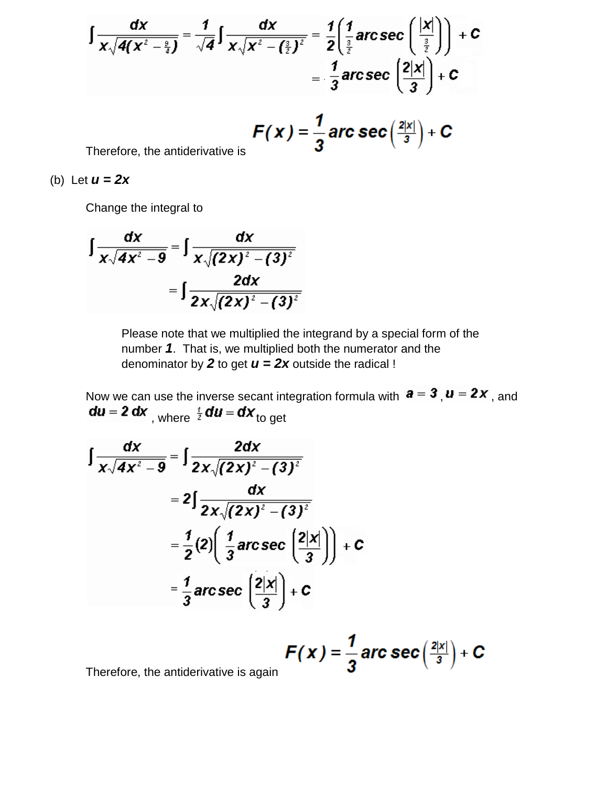$$
\int \frac{dx}{x\sqrt{4(x^2-\frac{9}{4})}} = \frac{1}{\sqrt{4}} \int \frac{dx}{x\sqrt{x^2-(\frac{3}{2})^2}} = \frac{1}{2} \left( \frac{1}{\frac{3}{2}} \arccsc \left( \frac{|x|}{\frac{3}{2}} \right) \right) + C
$$

$$
= \frac{1}{3} \arccsc \left( \frac{2|x|}{3} \right) + C
$$

$$
F(x) = \frac{1}{3} \arccsc\left(\frac{2|x|}{3}\right) + C
$$

Therefore, the antiderivative is

(b) Let *u = 2x*

Change the integral to

$$
\int \frac{dx}{x\sqrt{4x^2-9}} = \int \frac{dx}{x\sqrt{(2x)^2-(3)^2}}
$$

$$
= \int \frac{2dx}{2x\sqrt{(2x)^2-(3)^2}}
$$

Please note that we multiplied the integrand by a special form of the number *1*. That is, we multiplied both the numerator and the denominator by 2 to get  $u = 2x$  outside the radical !

Now we can use the inverse secant integration formula with  $\mathbf{a} = \mathbf{3}$ ,  $\mathbf{u} = \mathbf{z} \mathbf{x}$ , and , where  $\frac{1}{2}$  uu = ux to get

I

$$
\int \frac{dx}{x\sqrt{4x^2-9}} = \int \frac{2dx}{2x\sqrt{(2x)^2-(3)^2}}
$$
  
=  $2\int \frac{dx}{2x\sqrt{(2x)^2-(3)^2}}$   
=  $\frac{1}{2}(2)\left(\frac{1}{3}\operatorname{arcsec}\left(\frac{2|x|}{3}\right)\right)+C$   
=  $\frac{1}{3}\operatorname{arcsec}\left(\frac{2|x|}{3}\right)+C$ 

$$
F(x) = \frac{1}{3} \arccsc\left(\frac{2|x|}{3}\right) + C
$$

Therefore, the antiderivative is again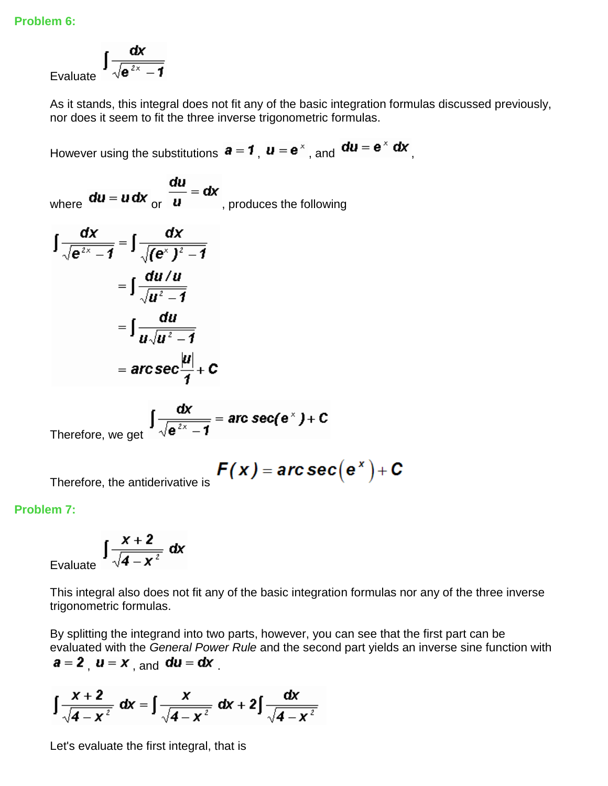Evaluate 
$$
\int \frac{dx}{\sqrt{e^{2x}-1}}
$$

As it stands, this integral does not fit any of the basic integration formulas discussed previously, nor does it seem to fit the three inverse trigonometric formulas.

However using the substitutions  $\mathbf{a} = \mathbf{1}$ ,  $\mathbf{u} = \mathbf{e}^{\times}$ , and  $\mathbf{du} = \mathbf{e}^{\times} \mathbf{dx}$ ,

where  $du = u dx$  or  $\frac{du}{u} = dx$ , produces the following

$$
\int \frac{dx}{\sqrt{e^{2x}-1}} = \int \frac{dx}{\sqrt{(e^{x})^{2}-1}}
$$

$$
= \int \frac{du/u}{\sqrt{u^{2}-1}}
$$

$$
= \int \frac{du}{u\sqrt{u^{2}-1}}
$$

$$
= \arccsc \frac{|u|}{1} + C
$$

Therefore, we get 
$$
\int \frac{dx}{\sqrt{e^{2x}-1}} = \text{arc sec}(e^x) + C
$$

$$
F(x) = \mathbf{arc}\sec(e^x) + C
$$

Therefore, the antiderivative is

## **Problem 7:**

$$
\int \frac{x+2}{\sqrt{4-x^2}} \, dx
$$

Evalua

This integral also does not fit any of the basic integration formulas nor any of the three inverse trigonometric formulas.

By splitting the integrand into two parts, however, you can see that the first part can be evaluated with the *General Power Rule* and the second part yields an inverse sine function with  $a = 2$ ,  $u = x$ , and  $du = dx$ .

$$
\int \frac{x+2}{\sqrt{4-x^2}} \, dx = \int \frac{x}{\sqrt{4-x^2}} \, dx + 2 \int \frac{dx}{\sqrt{4-x^2}}
$$

Let's evaluate the first integral, that is